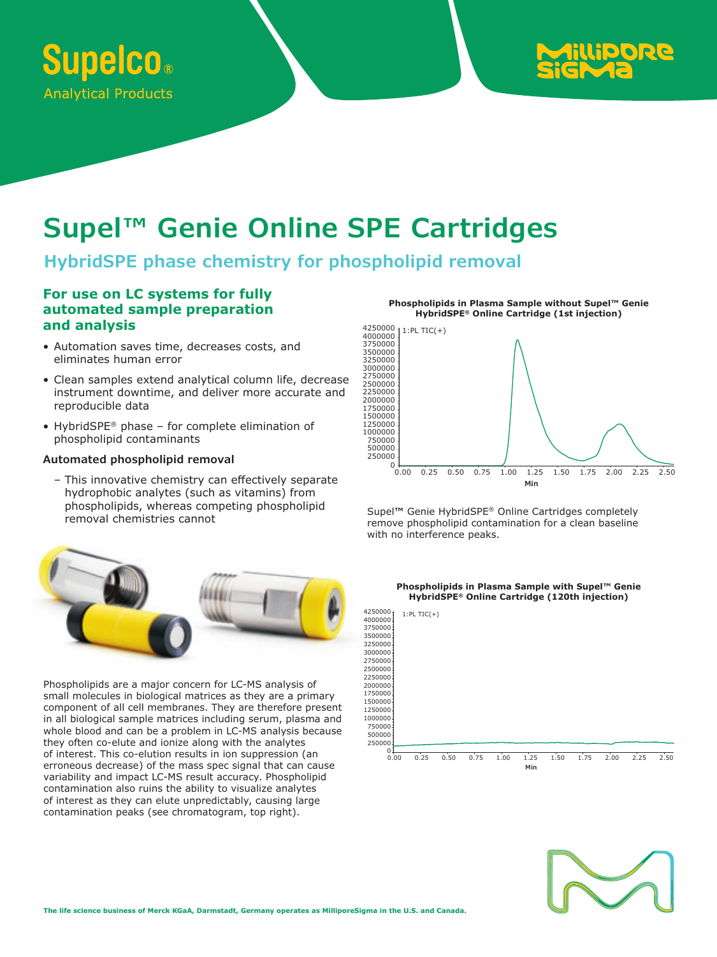



# **Supel™ Genie Online SPE Cartridges**

# **HybridSPE phase chemistry for phospholipid removal**

### **For use on LC systems for fully automated sample preparation and analysis**

- Automation saves time, decreases costs, and eliminates human error
- Clean samples extend analytical column life, decrease instrument downtime, and deliver more accurate and reproducible data
- HybridSPE® phase for complete elimination of phospholipid contaminants

#### **Automated phospholipid removal**

– This innovative chemistry can effectively separate hydrophobic analytes (such as vitamins) from phospholipids, whereas competing phospholipid removal chemistries cannot



Phospholipids are a major concern for LC-MS analysis of small molecules in biological matrices as they are a primary component of all cell membranes. They are therefore present in all biological sample matrices including serum, plasma and whole blood and can be a problem in LC-MS analysis because they often co-elute and ionize along with the analytes of interest. This co-elution results in ion suppression (an erroneous decrease) of the mass spec signal that can cause variability and impact LC-MS result accuracy. Phospholipid contamination also ruins the ability to visualize analytes of interest as they can elute unpredictably, causing large contamination peaks (see chromatogram, top right).

**Phospholipids in Plasma Sample without Supel™ Genie HybridSPE® Online Cartridge (1st injection)**



Supel**™** Genie HybridSPE® Online Cartridges completely remove phospholipid contamination for a clean baseline with no interference peaks.



#### **Phospholipids in Plasma Sample with Supel™ Genie HybridSPE® Online Cartridge (120th injection)**